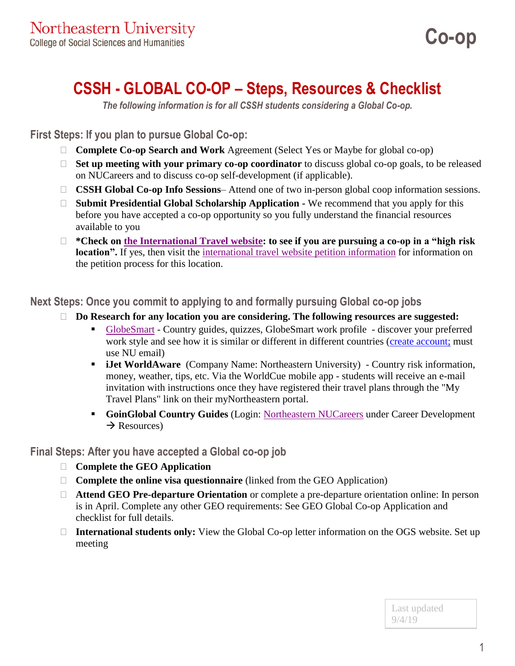# **CSSH - GLOBAL CO-OP – Steps, Resources & Checklist**

*The following information is for all CSSH students considering a Global Co-op.*

**First Steps: If you plan to pursue Global Co-op:**

- **Complete Co-op Search and Work** Agreement (Select Yes or Maybe for global co-op)
- **Set up meeting with your primary co-op coordinator** to discuss global co-op goals, to be released on NUCareers and to discuss co-op self-development (if applicable).
- □ **CSSH Global Co-op Info Sessions** Attend one of two in-person global coop information sessions.
- □ **Submit Presidential Global Scholarship Application -** We recommend that you apply for this before you have accepted a co-op opportunity so you fully understand the financial resources available to you
- **\*Check on [the International Travel website:](https://provost.northeastern.edu/international-travel/high-risk-travel/high-risk-country-list/) to see if you are pursuing a co-op in a "high risk location**". If yes, then visit the [international travel website petition information](https://provost.northeastern.edu/international-travel/high-risk-travel/petition-process/) for information on the petition process for this location.

**Next Steps: Once you commit to applying to and formally pursuing Global co-op jobs**

- **Do Research for any location you are considering. The following resources are suggested:**
	- [GlobeSmart](https://learning.aperianglobal.com/login/) Country guides, quizzes, GlobeSmart work profile discover your preferred work style and see how it is similar or different in different countries [\(create account;](https://learning.aperianglobal.com/login/) must use NU email)
	- **iJet WorldAware** (Company Name: Northeastern University) Country risk information, money, weather, tips, etc. Via the WorldCue mobile app - students will receive an e-mail invitation with instructions once they have registered their travel plans through the "My Travel Plans" link on their myNortheastern portal.
	- **GoinGlobal Country Guides** (Login: [Northeastern NUCareers](https://nucareers.northeastern.edu/) under Career Development  $\rightarrow$  Resources)

**Final Steps: After you have accepted a Global co-op job**

- **Complete the GEO Application**
- □ **Complete the online visa questionnaire** (linked from the GEO Application)
- **Attend GEO Pre-departure Orientation** or complete a pre-departure orientation online: In person is in April. Complete any other GEO requirements: See GEO Global Co-op Application and checklist for full details.
- □ International students only: View the Global Co-op letter information on the OGS website. Set up meeting